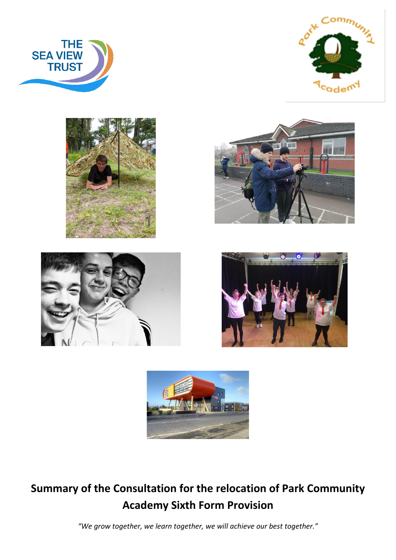













# **Summary of the Consultation for the relocation of Park Community Academy Sixth Form Provision**

*"We grow together, we learn together, we will achieve our best together."*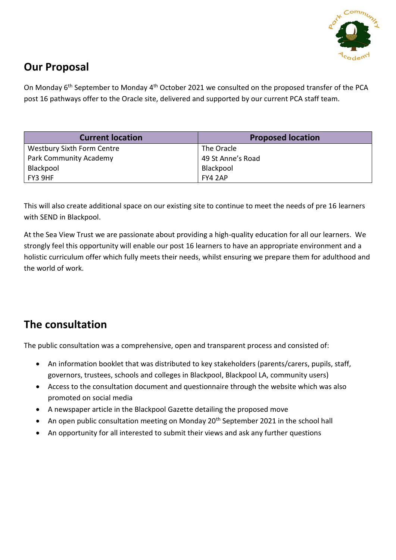

## **Our Proposal**

On Monday 6<sup>th</sup> September to Monday 4<sup>th</sup> October 2021 we consulted on the proposed transfer of the PCA post 16 pathways offer to the Oracle site, delivered and supported by our current PCA staff team.

| <b>Current location</b>           | <b>Proposed location</b> |  |
|-----------------------------------|--------------------------|--|
| <b>Westbury Sixth Form Centre</b> | The Oracle               |  |
| <b>Park Community Academy</b>     | 49 St Anne's Road        |  |
| Blackpool                         | Blackpool                |  |
| FY3 9HF                           | FY4 2AP                  |  |

This will also create additional space on our existing site to continue to meet the needs of pre 16 learners with SEND in Blackpool.

At the Sea View Trust we are passionate about providing a high-quality education for all our learners. We strongly feel this opportunity will enable our post 16 learners to have an appropriate environment and a holistic curriculum offer which fully meets their needs, whilst ensuring we prepare them for adulthood and the world of work.

## **The consultation**

The public consultation was a comprehensive, open and transparent process and consisted of:

- An information booklet that was distributed to key stakeholders (parents/carers, pupils, staff, governors, trustees, schools and colleges in Blackpool, Blackpool LA, community users)
- Access to the consultation document and questionnaire through the website which was also promoted on social media
- A newspaper article in the Blackpool Gazette detailing the proposed move
- An open public consultation meeting on Monday 20<sup>th</sup> September 2021 in the school hall
- An opportunity for all interested to submit their views and ask any further questions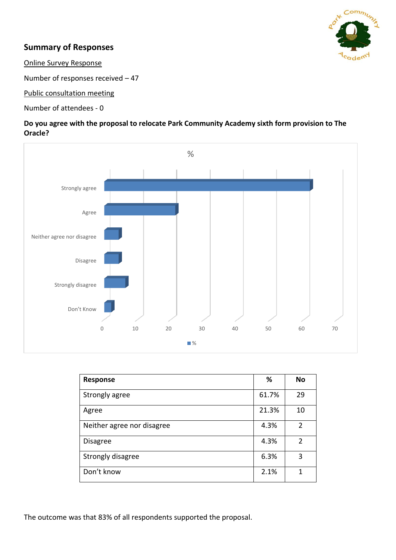

## **Summary of Responses**

Online Survey Response

Number of responses received – 47

Public consultation meeting

Number of attendees - 0

#### **Do you agree with the proposal to relocate Park Community Academy sixth form provision to The Oracle?**



| Response                   | %     | <b>No</b> |
|----------------------------|-------|-----------|
| Strongly agree             | 61.7% | 29        |
| Agree                      | 21.3% | 10        |
| Neither agree nor disagree | 4.3%  | 2         |
| <b>Disagree</b>            | 4.3%  | 2         |
| Strongly disagree          | 6.3%  | 3         |
| Don't know                 | 2.1%  | 1         |

The outcome was that 83% of all respondents supported the proposal.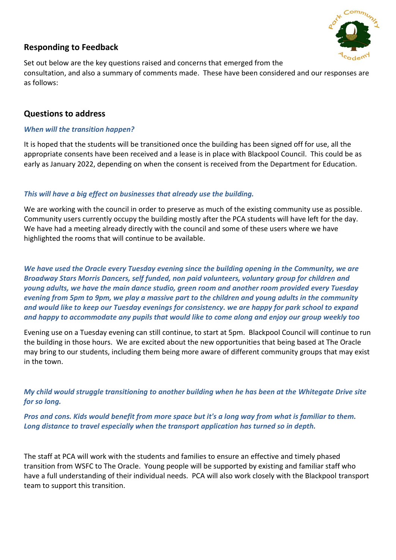

## **Responding to Feedback**

Set out below are the key questions raised and concerns that emerged from the consultation, and also a summary of comments made. These have been considered and our responses are as follows:

#### **Questions to address**

#### *When will the transition happen?*

It is hoped that the students will be transitioned once the building has been signed off for use, all the appropriate consents have been received and a lease is in place with Blackpool Council. This could be as early as January 2022, depending on when the consent is received from the Department for Education.

#### *This will have a big effect on businesses that already use the building.*

We are working with the council in order to preserve as much of the existing community use as possible. Community users currently occupy the building mostly after the PCA students will have left for the day. We have had a meeting already directly with the council and some of these users where we have highlighted the rooms that will continue to be available.

*We have used the Oracle every Tuesday evening since the building opening in the Community, we are Broadway Stars Morris Dancers, self funded, non paid volunteers, voluntary group for children and young adults, we have the main dance studio, green room and another room provided every Tuesday evening from 5pm to 9pm, we play a massive part to the children and young adults in the community and would like to keep our Tuesday evenings for consistency. we are happy for park school to expand and happy to accommodate any pupils that would like to come along and enjoy our group weekly too*

Evening use on a Tuesday evening can still continue, to start at 5pm. Blackpool Council will continue to run the building in those hours. We are excited about the new opportunities that being based at The Oracle may bring to our students, including them being more aware of different community groups that may exist in the town.

*My child would struggle transitioning to another building when he has been at the Whitegate Drive site for so long.*

*Pros and cons. Kids would benefit from more space but it's a long way from what is familiar to them. Long distance to travel especially when the transport application has turned so in depth.*

The staff at PCA will work with the students and families to ensure an effective and timely phased transition from WSFC to The Oracle. Young people will be supported by existing and familiar staff who have a full understanding of their individual needs. PCA will also work closely with the Blackpool transport team to support this transition.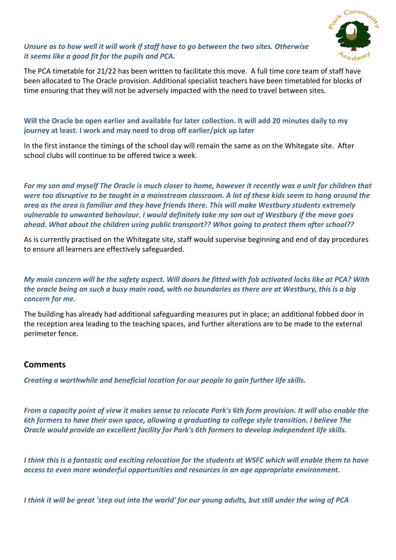

#### *Unsure as to how well it will work if staff have to go between the two sites. Otherwise it seems like a good fit for the pupils and PCA.*

The PCA timetable for 21/22 has been written to facilitate this move. A full time core team of staff have been allocated to The Oracle provision. Additional specialist teachers have been timetabled for blocks of time ensuring that they will not be adversely impacted with the need to travel between sites.

### **Will the Oracle be open earlier and available for later collection. It will add 20 minutes daily to my journey at least. I work and may need to drop off earlier/pick up later**

In the first instance the timings of the school day will remain the same as on the Whitegate site. After school clubs will continue to be offered twice a week.

*For my son and myself The Oracle is much closer to home, however it recently was a unit for children that were too disruptive to be taught in a mainstream classroom. A lot of these kids seem to hang around the area as the area is familiar and they have friends there. This will make Westbury students extremely vulnerable to unwanted behaviour. I would definitely take my son out of Westbury if the move goes ahead. What about the children using public transport?? Whos going to protect them after school??*

As is currently practised on the Whitegate site, staff would supervise beginning and end of day procedures to ensure all learners are effectively safeguarded.

#### *My main concern will be the safety aspect. Will doors be fitted with fob activated locks like at PCA? With the oracle being on such a busy main road, with no boundaries as there are at Westbury, this is a big concern for me.*

The building has already had additional safeguarding measures put in place; an additional fobbed door in the reception area leading to the teaching spaces, and further alterations are to be made to the external perimeter fence.

#### **Comments**

*Creating a worthwhile and beneficial location for our people to gain further life skills.*

*From a capacity point of view it makes sense to relocate Park's 6th form provision. It will also enable the 6th formers to have their own space, allowing a graduating to college style transition. I believe The Oracle would provide an excellent facility for Park's 6th formers to develop independent life skills.*

*I think this is a fantastic and exciting relocation for the students at WSFC which will enable them to have access to even more wonderful opportunities and resources in an age appropriate environment.*

*I think it will be great 'step out into the world' for our young adults, but still under the wing of PCA*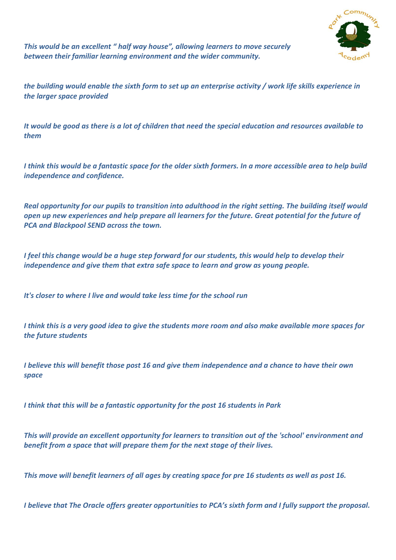

*This would be an excellent " half way house", allowing learners to move securely between their familiar learning environment and the wider community.*

*the building would enable the sixth form to set up an enterprise activity / work life skills experience in the larger space provided*

*It would be good as there is a lot of children that need the special education and resources available to them*

*I think this would be a fantastic space for the older sixth formers. In a more accessible area to help build independence and confidence.*

*Real opportunity for our pupils to transition into adulthood in the right setting. The building itself would open up new experiences and help prepare all learners for the future. Great potential for the future of PCA and Blackpool SEND across the town.*

*I feel this change would be a huge step forward for our students, this would help to develop their independence and give them that extra safe space to learn and grow as young people.*

*It's closer to where I live and would take less time for the school run*

*I think this is a very good idea to give the students more room and also make available more spaces for the future students*

*I believe this will benefit those post 16 and give them independence and a chance to have their own space*

*I think that this will be a fantastic opportunity for the post 16 students in Park*

*This will provide an excellent opportunity for learners to transition out of the 'school' environment and benefit from a space that will prepare them for the next stage of their lives.*

*This move will benefit learners of all ages by creating space for pre 16 students as well as post 16.*

*I believe that The Oracle offers greater opportunities to PCA's sixth form and I fully support the proposal.*